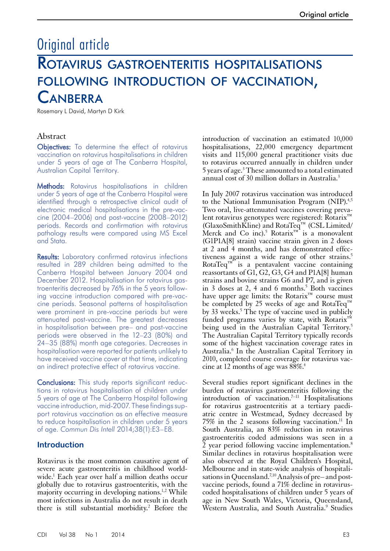# Original article Rotavirus gastroenteritis hospitalisations following introduction of vaccination, **CANBERRA**

Rosemary L David, Martyn D Kirk

# Abstract

Objectives: To determine the effect of rotavirus vaccination on rotavirus hospitalisations in children under 5 years of age at The Canberra Hospital, Australian Capital Territory.

Methods: Rotavirus hospitalisations in children under 5 years of age at the Canberra Hospital were identified through a retrospective clinical audit of electronic medical hospitalisations in the pre-vaccine (2004–2006) and post-vaccine (2008–2012) periods. Records and confirmation with rotavirus pathology results were compared using MS Excel and Stata.

**Results:** Laboratory confirmed rotavirus infections resulted in 289 children being admitted to the Canberra Hospital between January 2004 and December 2012. Hospitalisation for rotavirus gastroenteritis decreased by 76% in the 5 years following vaccine introduction compared with pre-vaccine periods. Seasonal patterns of hospitalisation were prominent in pre-vaccine periods but were attenuated post-vaccine. The greatest decreases in hospitalisation between pre– and post-vaccine periods were observed in the 12–23 (80%) and 24–35 (88%) month age categories. Decreases in hospitalisation were reported for patients unlikely to have received vaccine cover at that time, indicating an indirect protective effect of rotavirus vaccine.

Conclusions: This study reports significant reductions in rotavirus hospitalisation of children under 5 years of age at The Canberra Hospital following vaccine introduction, mid-2007. These findings support rotavirus vaccination as an effective measure to reduce hospitalisation in children under 5 years of age. *Commun Dis Intell* 2014;38(1):E3–E8.

## **Introduction**

Rotavirus is the most common causative agent of severe acute gastroenteritis in childhood world-<br>wide.<sup>1</sup> Each year over half a million deaths occur globally due to rotavirus gastroenteritis, with the majority occurring in developing nations.<sup>1,2</sup> While most infections in Australia do not result in death there is still substantial morbidity.<sup>2</sup> Before the

introduction of vaccination an estimated 10,000 hospitalisations, 22,000 emergency department visits and 115,000 general practitioner visits due to rotavirus occurred annually in children under 5 years of age.3 These amounted to a total estimated annual cost of 30 million dollars in Australia.3

In July 2007 rotavirus vaccination was introduced to the National Immunisation Program (NIP).<sup>4,5</sup> Two oral, live-attenuated vaccines covering prevalent rotavirus genotypes were registered: Rotarix™ (GlaxoSmithKline) and RotaTeq™ (CSL Limited/ Merck and Co inc).<sup>5</sup> Rotarix<sup>™</sup> is a monovalent (G1P1A[8] strain) vaccine strain given in 2 doses at 2 and 4 months, and has demonstrated effectiveness against a wide range of other strains.<sup>5</sup> RotaTeq $\mathbb{I}^M$  is a pentavalent vaccine containing reassortants of G1, G2, G3, G4 and P1A[8] human strains and bovine strains G6 and P7, and is given in 3 doses at 2, 4 and 6 months.<sup>5</sup> Both vaccines have upper age limits: the Rotarix™ course must be completed by 25 weeks of age and RotaTeq<sup>™</sup> by 33 weeks.<sup>5</sup> The type of vaccine used in publicly funded programs varies by state, with Rotarix<sup>™</sup> being used in the Australian Capital Territory.<sup>5</sup> The Australian Capital Territory typically records some of the highest vaccination coverage rates in Australia.6 In the Australian Capital Territory in 2010, completed course coverage for rotavirus vaccine at 12 months of age was  $88\%$ <sup>4</sup>

Several studies report significant declines in the burden of rotavirus gastroenteritis following the introduction of vaccination.<sup> $7-11$ </sup> Hospitalisations for rotavirus gastroenteritis at a tertiary paediatric centre in Westmead, Sydney decreased by  $75\%$  in the 2 seasons following vaccination.<sup>11</sup> In South Australia, an 83% reduction in rotavirus gastroenteritis coded admissions was seen in a 2 year period following vaccine implementation.<sup>8</sup> Similar declines in rotavirus hospitalisation were also observed at the Royal Children's Hospital, Melbourne and in state-wide analysis of hospitalisations in Queensland.<sup>7,10</sup> Analysis of pre– and postvaccine periods, found a 71% decline in rotaviruscoded hospitalisations of children under 5 years of age in New South Wales, Victoria, Queensland, Western Australia, and South Australia.<sup>9</sup> Studies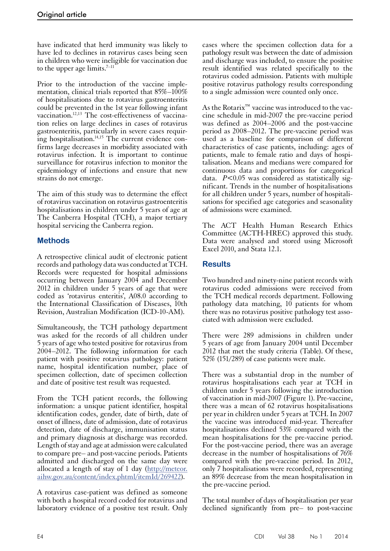have indicated that herd immunity was likely to have led to declines in rotavirus cases being seen in children who were ineligible for vaccination due to the upper age limits. $7-11$ 

Prior to the introduction of the vaccine implementation, clinical trials reported that 85%–100% of hospitalisations due to rotavirus gastroenteritis could be prevented in the 1st year following infant vaccination.12,13 The cost-effectiveness of vaccination relies on large declines in cases of rotavirus gastroenteritis, particularly in severe cases requiring hospitalisation.14,15 The current evidence confirms large decreases in morbidity associated with rotavirus infection. It is important to continue surveillance for rotavirus infection to monitor the epidemiology of infections and ensure that new strains do not emerge.

The aim of this study was to determine the effect of rotavirus vaccination on rotavirus gastroenteritis hospitalisations in children under 5 years of age at The Canberra Hospital (TCH), a major tertiary hospital servicing the Canberra region.

# **Methods**

A retrospective clinical audit of electronic patient records and pathology data was conducted at TCH. Records were requested for hospital admissions occurring between January 2004 and December 2012 in children under 5 years of age that were coded as 'rotavirus enteritis', A08.0 according to the International Classification of Diseases, 10th Revision, Australian Modification (ICD-10-AM).

Simultaneously, the TCH pathology department was asked for the records of all children under 5 years of age who tested positive for rotavirus from 2004–2012. The following information for each patient with positive rotavirus pathology: patient name, hospital identification number, place of specimen collection, date of specimen collection and date of positive test result was requested.

From the TCH patient records, the following information: a unique patient identifier, hospital identification codes, gender, date of birth, date of onset of illness, date of admission, date of rotavirus detection, date of discharge, immunisation status and primary diagnosis at discharge was recorded. Length of stay and age at admission were calculated to compare pre– and post-vaccine periods. Patients admitted and discharged on the same day were allocated a length of stay of 1 day ([http://meteor.](http://meteor.aihw.gov.au/content/index.phtml/itemId/269422) [aihw.gov.au/content/index.phtml/itemId/269422](http://meteor.aihw.gov.au/content/index.phtml/itemId/269422)).

A rotavirus case-patient was defined as someone with both a hospital record coded for rotavirus and laboratory evidence of a positive test result. Only cases where the specimen collection data for a pathology result was between the date of admission and discharge was included, to ensure the positive result identified was related specifically to the rotavirus coded admission. Patients with multiple positive rotavirus pathology results corresponding to a single admission were counted only once.

As the Rotarix™ vaccine was introduced to the vaccine schedule in mid-2007 the pre-vaccine period was defined as 2004–2006 and the post-vaccine period as 2008–2012. The pre-vaccine period was used as a baseline for comparison of different characteristics of case patients, including: ages of patients, male to female ratio and days of hospitalisation. Means and medians were compared for continuous data and proportions for categorical data. *P*<0.05 was considered as statistically significant. Trends in the number of hospitalisations for all children under 5 years, number of hospitalisations for specified age categories and seasonality of admissions were examined.

The ACT Health Human Research Ethics Committee (ACTH-HREC) approved this study. Data were analysed and stored using Microsoft Excel 2010, and Stata 12.1.

## **Results**

Two hundred and ninety-nine patient records with rotavirus coded admissions were received from the TCH medical records department. Following pathology data matching, 10 patients for whom there was no rotavirus positive pathology test asso- ciated with admission were excluded.

There were 289 admissions in children under 5 years of age from January 2004 until December 2012 that met the study criteria (Table). Of these, 52% (151/289) of case patients were male.

There was a substantial drop in the number of rotavirus hospitalisations each year at TCH in children under 5 years following the introduction of vaccination in mid-2007 (Figure 1). Pre-vaccine, there was a mean of 62 rotavirus hospitalisations per year in children under 5 years at TCH. In 2007 the vaccine was introduced mid-year. Thereafter hospitalisations declined 53% compared with the mean hospitalisations for the pre-vaccine period. For the post-vaccine period, there was an average decrease in the number of hospitalisations of 76% compared with the pre-vaccine period. In 2012, only 7 hospitalisations were recorded, representing an 89% decrease from the mean hospitalisation in the pre-vaccine period.

The total number of days of hospitalisation per year declined significantly from pre– to post-vaccine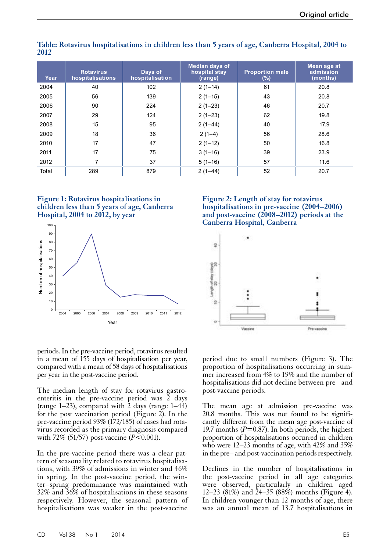| Year  | <b>Rotavirus</b><br>hospitalisations | Days of<br>hospitalisation | <b>Median days of</b><br>hospital stay<br>(range) | <b>Proportion male</b><br>$(\%)$ | Mean age at<br>admission<br>(months) |
|-------|--------------------------------------|----------------------------|---------------------------------------------------|----------------------------------|--------------------------------------|
| 2004  | 40                                   | 102                        | $2(1-14)$                                         | 61                               | 20.8                                 |
| 2005  | 56                                   | 139                        | $2(1-15)$                                         | 43                               | 20.8                                 |
| 2006  | 90                                   | 224                        | $2(1-23)$                                         | 46                               | 20.7                                 |
| 2007  | 29                                   | 124                        | $2(1-23)$                                         | 62                               | 19.8                                 |
| 2008  | 15                                   | 95                         | $2(1-44)$                                         | 40                               | 17.9                                 |
| 2009  | 18                                   | 36                         | $2(1-4)$                                          | 56                               | 28.6                                 |
| 2010  | 17                                   | 47                         | $2(1-12)$                                         | 50                               | 16.8                                 |
| 2011  | 17                                   | 75                         | $3(1-16)$                                         | 39                               | 23.9                                 |
| 2012  | 7                                    | 37                         | $5(1-16)$                                         | 57                               | 11.6                                 |
| Total | 289                                  | 879                        | $2(1-44)$                                         | 52                               | 20.7                                 |

**Table: Rotavirus hospitalisations in children less than 5 years of age, Canberra Hospital, 2004 to 2012**





**Figure 2: Length of stay for rotavirus hospitalisations in pre-vaccine (2004–2006) and post-vaccine (2008–2012) periods at the Canberra Hospital, Canberra**



periods. In the pre-vaccine period, rotavirus resulted in a mean of 155 days of hospitalisation per year, compared with a mean of 58 days of hospitalisations per year in the post-vaccine period.

The median length of stay for rotavirus gastroenteritis in the pre-vaccine period was 2 days (range  $1-23$ ), compared with  $\hat{2}$  days (range  $1-44$ ) for the post vaccination period (Figure 2). In the pre-vaccine period 93% (172/185) of cases had rotavirus recorded as the primary diagnosis compared with 72% (51/57) post-vaccine (*P*<0.001).

In the pre-vaccine period there was a clear pat- tern of seasonality related to rotavirus hospitalisa- tions, with 39% of admissions in winter and 46% in spring. In the post-vaccine period, the winter–spring predominance was maintained with 32% and 36% of hospitalisations in these seasons respectively. However, the seasonal pattern of hospitalisations was weaker in the post-vaccine

period due to small numbers (Figure 3). The proportion of hospitalisations occurring in summer increased from 4% to 19% and the number of hospitalisations did not decline between pre– and post-vaccine periods.

The mean age at admission pre-vaccine was 20.8 months. This was not found to be signifi- cantly different from the mean age post-vaccine of 19.7 months  $(P=0.87)$ . In both periods, the highest proportion of hospitalisations occurred in children who were 12–23 months of age, with 42% and 35% in the pre– and post-vaccination periods respectively.

Declines in the number of hospitalisations in the post-vaccine period in all age categories were observed, particularly in children aged 12–23 (81%) and 24–35 (88%) months (Figure 4). In children younger than 12 months of age, there was an annual mean of 13.7 hospitalisations in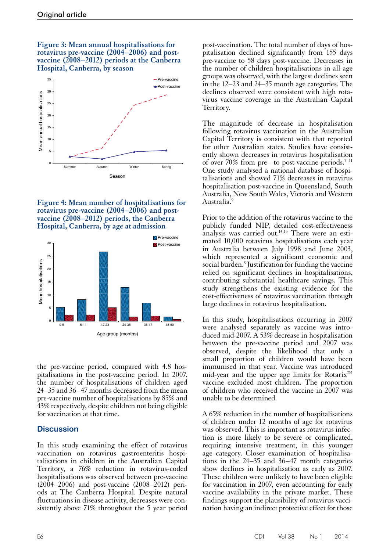#### **Figure 3: Mean annual hospitalisations for rotavirus pre-vaccine (2004–2006) and postvaccine (2008–2012) periods at the Canberra Hospital, Canberra, by season**







the pre-vaccine period, compared with 4.8 hos-<br>pitalisations in the post-vaccine period. In 2007, the number of hospitalisations of children aged 24–35 and 36–47 months decreased from the mean pre-vaccine number of hospitalisations by 85% and 43% respectively, despite children not being eligible for vaccination at that time.

#### **Discussion**

In this study examining the effect of rotavirus vaccination on rotavirus gastroenteritis hospi- talisations in children in the Australian Capital Territory, a 76% reduction in rotavirus-coded hospitalisations was observed between pre-vaccine (2004–2006) and post-vaccine (2008–2012) periods at The Canberra Hospital. Despite natural fluctuations in disease activity, decreases were consistently above 71% throughout the 5 year period

post-vaccination. The total number of days of hospitalisation declined significantly from 155 days pre-vaccine to 58 days post-vaccine. Decreases in the number of children hospitalisations in all age groups was observed, with the largest declines seen in the 12–23 and 24–35 month age categories. The declines observed were consistent with high rotavirus vaccine coverage in the Australian Capital Territory.

The magnitude of decrease in hospitalisation following rotavirus vaccination in the Australian Capital Territory is consistent with that reported for other Australian states. Studies have consistently shown decreases in rotavirus hospitalisation of over  $70\%$  from pre– to post-vaccine periods.<sup>7–11</sup> One study analysed a national database of hospitalisations and showed 71% decreases in rotavirus hospitalisation post-vaccine in Queensland, South Australia, New South Wales, Victoria and Western Australia.<sup>9</sup>

Prior to the addition of the rotavirus vaccine to the publicly funded NIP, detailed cost-effectiveness analysis was carried out.<sup>14,15</sup> There were an estimated 10,000 rotavirus hospitalisations each year in Australia between July 1998 and June 2003, which represented a significant economic and social burden.<sup>3</sup> Justification for funding the vaccine relied on significant declines in hospitalisations, contributing substantial healthcare savings. This study strengthens the existing evidence for the cost-effectiveness of rotavirus vaccination through large declines in rotavirus hospitalisation.

In this study, hospitalisations occurring in 2007 were analysed separately as vaccine was intro-<br>duced mid-2007. A 53% decrease in hospitalisation between the pre-vaccine period and 2007 was observed, despite the likelihood that only a small proportion of children would have been immunised in that year. Vaccine was introduced mid-year and the upper age limits for Rotarix™ vaccine excluded most children. The proportion of children who received the vaccine in 2007 was unable to be determined.

A 65% reduction in the number of hospitalisations of children under 12 months of age for rotavirus was observed. This is important as rotavirus infection is more likely to be severe or complicated, requiring intensive treatment, in this younger age category. Closer examination of hospitalisa- tions in the 24–35 and 36–47 month categories show declines in hospitalisation as early as 2007. These children were unlikely to have been eligible for vaccination in 2007, even accounting for early vaccine availability in the private market. These findings support the plausibility of rotavirus vaccination having an indirect protective effect for those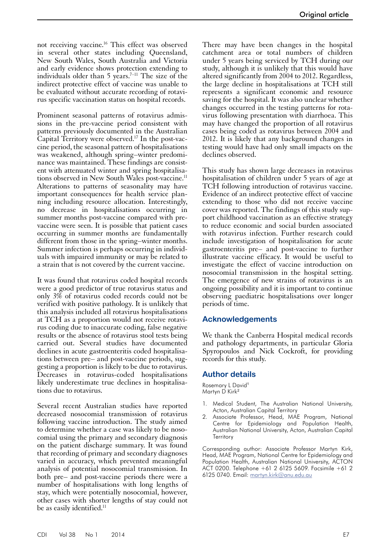not receiving vaccine.<sup>16</sup> This effect was observed in several other states including Queensland, New South Wales, South Australia and Victoria and early evidence shows protection extending to individuals older than 5 years.<sup>7-11</sup> The size of the indirect protective effect of vaccine was unable to be evaluated without accurate recording of rotavirus specific vaccination status on hospital records.

Prominent seasonal patterns of rotavirus admissions in the pre-vaccine period consistent with patterns previously documented in the Australian Capital Territory were observed.17 In the post-vaccine period, the seasonal pattern of hospitalisations was weakened, although spring–winter predominance was maintained. These findings are consistent with attenuated winter and spring hospitalisations observed in New South Wales post-vaccine.<sup>11</sup> Alterations to patterns of seasonality may have important consequences for health service planning including resource allocation. Interestingly, no decrease in hospitalisations occurring in summer months post-vaccine compared with prevaccine were seen. It is possible that patient cases occurring in summer months are fundamentally different from those in the spring–winter months. Summer infection is perhaps occurring in individuals with impaired immunity or may be related to a strain that is not covered by the current vaccine.

It was found that rotavirus coded hospital records were a good predictor of true rotavirus status and only 3% of rotavirus coded records could not be verified with positive pathology. It is unlikely that this analysis included all rotavirus hospitalisations at TCH as a proportion would not receive rotavi- rus coding due to inaccurate coding, false negative results or the absence of rotavirus stool tests being carried out. Several studies have documented declines in acute gastroenteritis coded hospitalisations between pre– and post-vaccine periods, suggesting a proportion is likely to be due to rotavirus. Decreases in rotavirus-coded hospitalisations likely underestimate true declines in hospitalisations due to rotavirus.

Several recent Australian studies have reported decreased nosocomial transmission of rotavirus following vaccine introduction. The study aimed to determine whether a case was likely to be nosocomial using the primary and secondary diagnosis on the patient discharge summary. It was found that recording of primary and secondary diagnoses varied in accuracy, which prevented meaningful analysis of potential nosocomial transmission. In both pre– and post-vaccine periods there were a number of hospitalisations with long lengths of stay, which were potentially nosocomial, however, other cases with shorter lengths of stay could not be as easily identified.<sup>11</sup>

There may have been changes in the hospital catchment area or total numbers of children under 5 years being serviced by TCH during our study, although it is unlikely that this would have altered significantly from 2004 to 2012. Regardless, the large decline in hospitalisations at TCH still represents a significant economic and resource saving for the hospital. It was also unclear whether changes occurred in the testing patterns for rotavirus following presentation with diarrhoea. This may have changed the proportion of all rotavirus cases being coded as rotavirus between 2004 and 2012. It is likely that any background changes in testing would have had only small impacts on the declines observed.

This study has shown large decreases in rotavirus hospitalisation of children under 5 years of age at TCH following introduction of rotavirus vaccine. Evidence of an indirect protective effect of vaccine extending to those who did not receive vaccine cover was reported. The findings of this study support childhood vaccination as an effective strategy to reduce economic and social burden associated with rotavirus infection. Further research could include investigation of hospitalisation for acute gastroenteritis pre– and post-vaccine to further illustrate vaccine efficacy. It would be useful to investigate the effect of vaccine introduction on nosocomial transmission in the hospital setting. The emergence of new strains of rotavirus is an ongoing possibility and it is important to continue observing paediatric hospitalisations over longer periods of time.

#### **Acknowledgements**

We thank the Canberra Hospital medical records and pathology departments, in particular Gloria Spyropoulos and Nick Cockroft, for providing records for this study.

#### **Author details**

Rosemary L David<sup>1</sup> Martyn D Kirk<sup>2</sup>

- 1. Medical Student, The Australian National University, Acton, Australian Capital Territory
- Associate Professor, Head, MAE Program, National Centre for Epidemiology and Population Health, Australian National University, Acton, Australian Capital **Territory**

Corresponding author: Associate Professor Martyn Kirk, Head, MAE Program, National Centre for Epidemiology and Population Health, Australian National University, ACTON ACT 0200. Telephone +61 2 6125 5609. Facsimile +61 2 6125 0740. Email: [martyn.kirk@anu.edu.au](mailto:martyn.kirk@anu.edu.au)